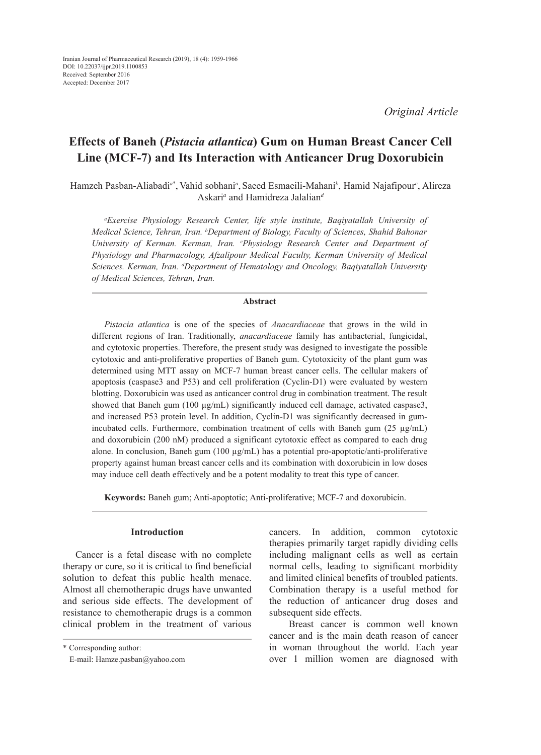*Original Article*

# **Effects of Baneh (***Pistacia atlantica***) Gum on Human Breast Cancer Cell Line (MCF-7) and Its Interaction with Anticancer Drug Doxorubicin**

Hamzeh Pasban-Aliabadi*<sup>a</sup>*\* , Vahid sobhani*<sup>a</sup>* , Saeed Esmaeili-Mahani*<sup>b</sup>* , Hamid Najafipour*<sup>c</sup>* , Alireza Askari*<sup>a</sup>* and Hamidreza Jalalian*<sup>d</sup>*

*a Exercise Physiology Research Center, life style institute, Baqiyatallah University of Medical Science, Tehran, Iran. <sup>b</sup> Department of Biology, Faculty of Sciences, Shahid Bahonar University of Kerman. Kerman, Iran. c Physiology Research Center and Department of Physiology and Pharmacology, Afzalipour Medical Faculty, Kerman University of Medical Sciences. Kerman, Iran. d Department of Hematology and Oncology, Baqiyatallah University of Medical Sciences, Tehran, Iran.*

#### **Abstract**

*Pistacia atlantica* is one of the species of *Anacardiaceae* that grows in the wild in different regions of Iran. Traditionally, *anacardiaceae* family has antibacterial, fungicidal, and cytotoxic properties. Therefore, the present study was designed to investigate the possible cytotoxic and anti-proliferative properties of Baneh gum. Cytotoxicity of the plant gum was determined using MTT assay on MCF-7 human breast cancer cells. The cellular makers of apoptosis (caspase3 and P53) and cell proliferation (Cyclin-D1) were evaluated by western blotting. Doxorubicin was used as anticancer control drug in combination treatment. The result showed that Baneh gum  $(100 \mu g/mL)$  significantly induced cell damage, activated caspase3, and increased P53 protein level. In addition, Cyclin-D1 was significantly decreased in gumincubated cells. Furthermore, combination treatment of cells with Baneh gum (25 µg/mL) and doxorubicin (200 nM) produced a significant cytotoxic effect as compared to each drug alone. In conclusion, Baneh gum (100 µg/mL) has a potential pro-apoptotic/anti-proliferative property against human breast cancer cells and its combination with doxorubicin in low doses may induce cell death effectively and be a potent modality to treat this type of cancer.

**Keywords:** Baneh gum; Anti-apoptotic; Anti-proliferative; MCF-7 and doxorubicin.

## **Introduction**

Cancer is a fetal disease with no complete therapy or cure, so it is critical to find beneficial solution to defeat this public health menace. Almost all chemotherapic drugs have unwanted and serious side effects. The development of resistance to chemotherapic drugs is a common clinical problem in the treatment of various cancers. In addition, common cytotoxic therapies primarily target rapidly dividing cells including malignant cells as well as certain normal cells, leading to significant morbidity and limited clinical benefits of troubled patients. Combination therapy is a useful method for the reduction of anticancer drug doses and subsequent side effects.

 Breast cancer is common well known cancer and is the main death reason of cancer in woman throughout the world. Each year over 1 million women are diagnosed with

<sup>\*</sup> Corresponding author:

E-mail: Hamze.pasban@yahoo.com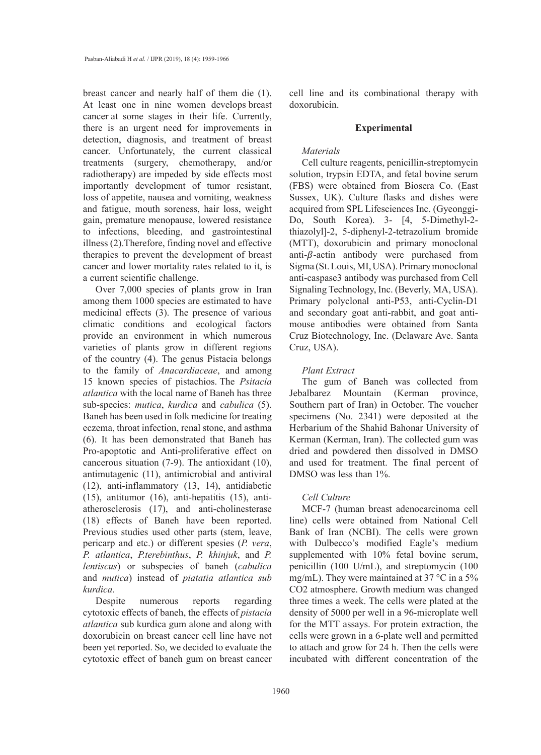breast cancer and nearly half of them die (1). At least one in nine women develops breast cancer at some stages in their life. Currently, there is an urgent need for improvements in detection, diagnosis, and treatment of breast cancer. Unfortunately, the current classical treatments (surgery, chemotherapy, and/or radiotherapy) are impeded by side effects most importantly development of tumor resistant, loss of appetite, nausea and vomiting, weakness and fatigue, mouth soreness, hair loss, weight gain, premature menopause, lowered resistance to infections, bleeding, and gastrointestinal illness (2).Therefore, finding novel and effective therapies to prevent the development of breast cancer and lower mortality rates related to it, is a current scientific challenge.

Over 7,000 species of plants grow in Iran among them 1000 species are estimated to have medicinal effects (3). The presence of various climatic conditions and ecological factors provide an environment in which numerous varieties of plants grow in different regions of the country (4). The genus Pistacia belongs to the family of *Anacardiaceae*, and among 15 known species of pistachios. The *Psitacia atlantica* with the local name of Baneh has three sub-species: *mutica*, *kurdica* and *cabulica* (5). Baneh has been used in folk medicine for treating eczema, throat infection, renal stone, and asthma (6). It has been demonstrated that Baneh has Pro-apoptotic and Anti-proliferative effect on cancerous situation (7-9). The antioxidant (10), antimutagenic (11), antimicrobial and antiviral (12), anti-inflammatory (13, 14), antidiabetic (15), antitumor (16), anti-hepatitis (15), antiatherosclerosis (17), and anti-cholinesterase (18) effects of Baneh have been reported. Previous studies used other parts (stem, leave, pericarp and etc.) or different spesies (*P. vera*, *P. atlantica*, *P.terebinthus*, *P. khinjuk*, and *P. lentiscus*) or subspecies of baneh (*cabulica* and *mutica*) instead of *piatatia atlantica sub kurdica*.

Despite numerous reports regarding cytotoxic effects of baneh, the effects of *pistacia atlantica* sub kurdica gum alone and along with doxorubicin on breast cancer cell line have not been yet reported. So, we decided to evaluate the cytotoxic effect of baneh gum on breast cancer

cell line and its combinational therapy with doxorubicin.

#### **Experimental**

## *Materials*

Cell culture reagents, penicillin-streptomycin solution, trypsin EDTA, and fetal bovine serum (FBS) were obtained from Biosera Co. (East Sussex, UK). Culture flasks and dishes were acquired from SPL Lifesciences Inc. (Gyeonggi-Do, South Korea). 3- [4, 5-Dimethyl-2 thiazolyl]-2, 5-diphenyl-2-tetrazolium bromide (MTT), doxorubicin and primary monoclonal anti- $\beta$ -actin antibody were purchased from Sigma (St. Louis, MI, USA). Primary monoclonal anti-caspase3 antibody was purchased from Cell Signaling Technology, Inc. (Beverly, MA, USA). Primary polyclonal anti-P53, anti-Cyclin-D1 and secondary goat anti-rabbit, and goat antimouse antibodies were obtained from Santa Cruz Biotechnology, Inc. (Delaware Ave. Santa Cruz, USA).

### *Plant Extract*

The gum of Baneh was collected from Jebalbarez Mountain (Kerman province, Southern part of Iran) in October. The voucher specimens (No. 2341) were deposited at the Herbarium of the Shahid Bahonar University of Kerman (Kerman, Iran). The collected gum was dried and powdered then dissolved in DMSO and used for treatment. The final percent of DMSO was less than 1%.

## *Cell Culture*

MCF-7 (human breast adenocarcinoma cell line) cells were obtained from National Cell Bank of Iran (NCBI). The cells were grown with Dulbecco's modified Eagle's medium supplemented with 10% fetal bovine serum, penicillin (100 U/mL), and streptomycin (100 mg/mL). They were maintained at 37 °C in a 5% CO2 atmosphere. Growth medium was changed three times a week. The cells were plated at the density of 5000 per well in a 96-microplate well for the MTT assays. For protein extraction, the cells were grown in a 6-plate well and permitted to attach and grow for 24 h. Then the cells were incubated with different concentration of the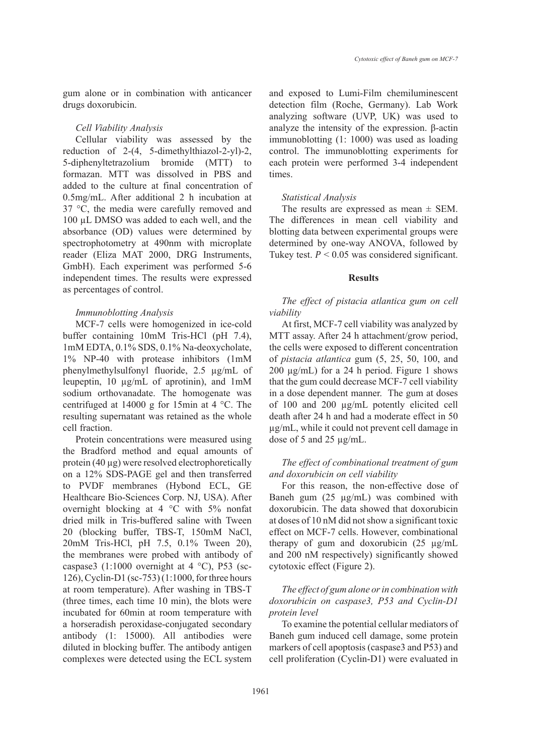gum alone or in combination with anticancer drugs doxorubicin.

#### *Cell Viability Analysis*

Cellular viability was assessed by the reduction of 2-(4, 5-dimethylthiazol-2-yl)-2, 5-diphenyltetrazolium bromide (MTT) to formazan. MTT was dissolved in PBS and added to the culture at final concentration of 0.5mg/mL. After additional 2 h incubation at 37 °C, the media were carefully removed and 100 µL DMSO was added to each well, and the absorbance (OD) values were determined by spectrophotometry at 490nm with microplate reader (Eliza MAT 2000, DRG Instruments, GmbH). Each experiment was performed 5-6 independent times. The results were expressed as percentages of control.

### *Immunoblotting Analysis*

MCF-7 cells were homogenized in ice-cold buffer containing 10mM Tris-HCl (pH 7.4), 1mM EDTA, 0.1% SDS, 0.1% Na-deoxycholate, 1% NP-40 with protease inhibitors (1mM phenylmethylsulfonyl fluoride, 2.5 µg/mL of leupeptin, 10 µg/mL of aprotinin), and 1mM sodium orthovanadate. The homogenate was centrifuged at 14000 g for 15min at 4 °C. The resulting supernatant was retained as the whole cell fraction.

Protein concentrations were measured using the Bradford method and equal amounts of protein (40 µg) were resolved electrophoretically on a 12% SDS-PAGE gel and then transferred to PVDF membranes (Hybond ECL, GE Healthcare Bio-Sciences Corp. NJ, USA). After overnight blocking at 4 °C with 5% nonfat dried milk in Tris-buffered saline with Tween 20 (blocking buffer, TBS-T, 150mM NaCl, 20mM Tris-HCl, pH 7.5, 0.1% Tween 20), the membranes were probed with antibody of caspase3 (1:1000 overnight at 4 °C), P53 (sc-126), Cyclin-D1 (sc-753) (1:1000, for three hours at room temperature). After washing in TBS-T (three times, each time 10 min), the blots were incubated for 60min at room temperature with a horseradish peroxidase-conjugated secondary antibody (1: 15000). All antibodies were diluted in blocking buffer. The antibody antigen complexes were detected using the ECL system and exposed to Lumi-Film chemiluminescent detection film (Roche, Germany). Lab Work analyzing software (UVP, UK) was used to analyze the intensity of the expression. β-actin immunoblotting (1: 1000) was used as loading control. The immunoblotting experiments for each protein were performed 3-4 independent times.

#### *Statistical Analysis*

The results are expressed as mean  $\pm$  SEM. The differences in mean cell viability and blotting data between experimental groups were determined by one-way ANOVA, followed by Tukey test.  $P < 0.05$  was considered significant.

#### **Results**

*The effect of pistacia atlantica gum on cell viability*

At first, MCF-7 cell viability was analyzed by MTT assay. After 24 h attachment/grow period, the cells were exposed to different concentration of *pistacia atlantica* gum (5, 25, 50, 100, and 200 µg/mL) for a 24 h period. Figure 1 shows that the gum could decrease MCF-7 cell viability in a dose dependent manner. The gum at doses of 100 and 200 µg/mL potently elicited cell death after 24 h and had a moderate effect in 50 µg/mL, while it could not prevent cell damage in dose of 5 and 25 µg/mL.

## *The effect of combinational treatment of gum and doxorubicin on cell viability*

For this reason, the non-effective dose of Baneh gum (25 µg/mL) was combined with doxorubicin. The data showed that doxorubicin at doses of 10 nM did not show a significant toxic effect on MCF-7 cells. However, combinational therapy of gum and doxorubicin (25 µg/mL and 200 nM respectively) significantly showed cytotoxic effect (Figure 2).

# *The effect of gum alone or in combination with doxorubicin on caspase3, P53 and Cyclin-D1 protein level*

To examine the potential cellular mediators of Baneh gum induced cell damage, some protein markers of cell apoptosis (caspase3 and P53) and cell proliferation (Cyclin-D1) were evaluated in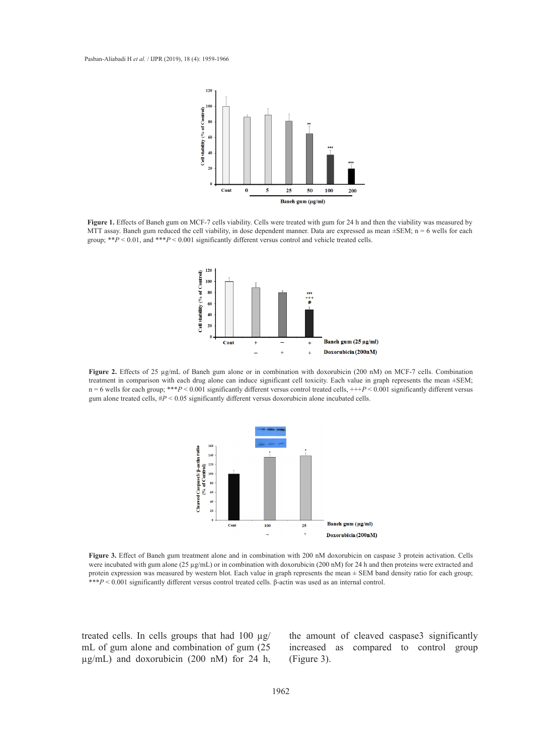

Figure 1. Effects of Baneh gum on MCF-7 cells viability. Cells were treated with gum for 24 h and then the viability was measured by MTT assay. Baneh gum reduced the cell viability, in dose dependent manner. Data are expressed as mean ±SEM; n = 6 wells for each group;  $*^*P < 0.01$ , and  $*^*P < 0.001$  significantly different versus control and vehicle treated cells.  $200$  nM respectively) significantly showed cytotoxic effect (Figure 2).



Figure 2. Effects of 25 µg/mL of Baneh gum alone or in combination with doxorubicin (200 nM) on MCF-7 cells. Combination treatment in comparison with each drug alone can induce significant cell toxicity. Each value in graph represents the mean ±SEM;  $n = 6$  wells for each group; \*\*\* $P < 0.001$  significantly different versus control treated cells,  $+++P < 0.001$  significantly different versus gum alone treated cells,  $\#P < 0.05$  significantly different versus doxorubicin alone incubated cells.



Figure 3. Effect of Baneh gum treatment alone and in combination with 200 nM doxorubicin on caspase 3 protein activation. Cells were incubated with gum alone (25 µg/mL) or in combination with doxorubicin (200 nM) for 24 h and then proteins were extracted and protein expression was measured by western blot. Each value in graph represents the mean ± SEM band density ratio for each group; \*\**P* < 0.001 significantly different versus control treated cells. β-actin was used as an internal control.

treated cells. In cells groups that had 100  $\mu$ g/ mL of gum alone and combination of gum (25  $\mu$ g/mL) and doxorubicin (200 nM) for 24 h, the amount of cleaved caspase3 significantly increased as compared to control group (Figure 3).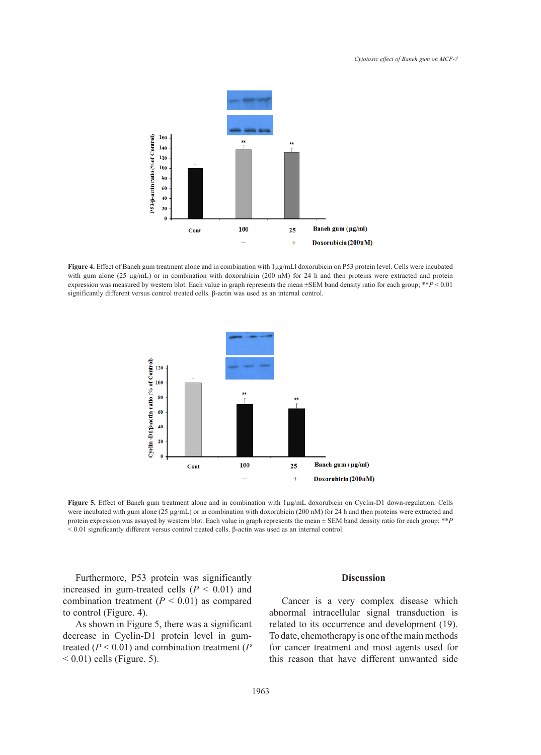

Figure 4. Effect of Baneh gum treatment alone and in combination with 1µg/mLl doxorubicin on P53 protein level. Cells were incubated with gum alone (25  $\mu$ g/mL) or in combination with doxorubicin (200 nM) for 24 h and then proteins were extracted and protein expression was measured by western blot. Each value in graph represents the mean ±SEM band density ratio for each group; \*\**P* < 0.01 significantly different versus control treated cells. β-actin was used as an internal control.



**Figure 5.** Effect of Baneh gum treatment alone and in combination with 1µg/mL doxorubicin on Cyclin-D1 down-regulation. Cells were incubated with gum alone (25 µg/mL) or in combination with doxorubicin (200 nM) for 24 h and then proteins were extracted and protein expression was assayed by western blot. Each value in graph represents the mean ± SEM band density ratio for each group; \*\**P*  < 0.01 significantly different versus control treated cells. β-actin was used as an internal control.

Furthermore, P53 protein was significantly increased in gum-treated cells  $(P < 0.01)$  and combination treatment  $(P < 0.01)$  as compared to control (Figure. 4).

As shown in Figure 5, there was a significant decrease in Cyclin-D1 protein level in gumtreated  $(P < 0.01)$  and combination treatment  $(P<sub>0.01</sub>)$  $(6.01)$  cells (Figure. 5).

## **Discussion**

Cancer is a very complex disease which abnormal intracellular signal transduction is related to its occurrence and development (19). To date, chemotherapy is one of the main methods for cancer treatment and most agents used for this reason that have different unwanted side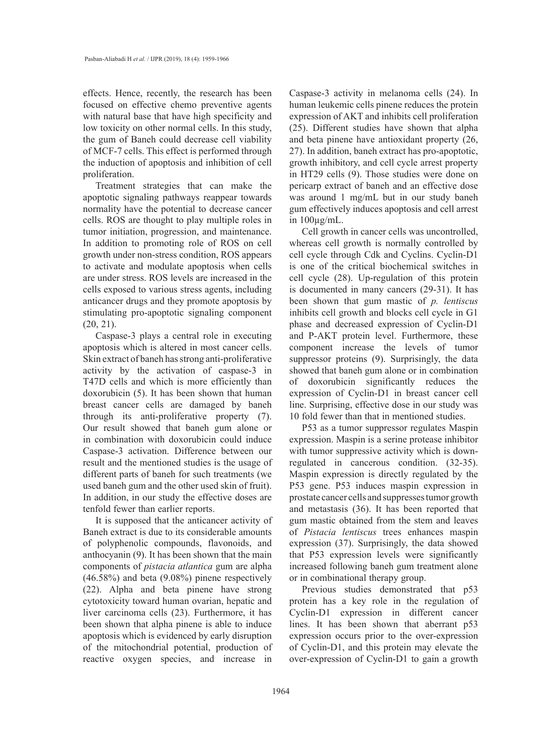effects. Hence, recently, the research has been focused on effective chemo preventive agents with natural base that have high specificity and low toxicity on other normal cells. In this study, the gum of Baneh could decrease cell viability of MCF-7 cells. This effect is performed through the induction of apoptosis and inhibition of cell proliferation.

Treatment strategies that can make the apoptotic signaling pathways reappear towards normality have the potential to decrease cancer cells. ROS are thought to play multiple roles in tumor initiation, progression, and maintenance. In addition to promoting role of ROS on cell growth under non-stress condition, ROS appears to activate and modulate apoptosis when cells are under stress. ROS levels are increased in the cells exposed to various stress agents, including anticancer drugs and they promote apoptosis by stimulating pro-apoptotic signaling component (20, 21).

Caspase-3 plays a central role in executing apoptosis which is altered in most cancer cells. Skin extract of baneh has strong anti-proliferative activity by the activation of caspase-3 in T47D cells and which is more efficiently than doxorubicin (5). It has been shown that human breast cancer cells are damaged by baneh through its anti-proliferative property (7). Our result showed that baneh gum alone or in combination with doxorubicin could induce Caspase-3 activation. Difference between our result and the mentioned studies is the usage of different parts of baneh for such treatments (we used baneh gum and the other used skin of fruit). In addition, in our study the effective doses are tenfold fewer than earlier reports.

It is supposed that the anticancer activity of Baneh extract is due to its considerable amounts of polyphenolic compounds, flavonoids, and anthocyanin (9). It has been shown that the main components of *pistacia atlantica* gum are alpha (46.58%) and beta (9.08%) pinene respectively (22). Alpha and beta pinene have strong cytotoxicity toward human ovarian, hepatic and liver carcinoma cells (23). Furthermore, it has been shown that alpha pinene is able to induce apoptosis which is evidenced by early disruption of the mitochondrial potential, production of reactive oxygen species, and increase in

Caspase-3 activity in melanoma cells (24). In human leukemic cells pinene reduces the protein expression of AKT and inhibits cell proliferation (25). Different studies have shown that alpha and beta pinene have antioxidant property (26, 27). In addition, baneh extract has pro-apoptotic, growth inhibitory, and cell cycle arrest property in HT29 cells (9). Those studies were done on pericarp extract of baneh and an effective dose was around 1 mg/mL but in our study baneh gum effectively induces apoptosis and cell arrest in  $100\mu\text{g/mL}$ .

Cell growth in cancer cells was uncontrolled, whereas cell growth is normally controlled by cell cycle through Cdk and Cyclins. Cyclin-D1 is one of the critical biochemical switches in cell cycle (28). Up-regulation of this protein is documented in many cancers (29-31). It has been shown that gum mastic of *p. lentiscus* inhibits cell growth and blocks cell cycle in G1 phase and decreased expression of Cyclin-D1 and P-AKT protein level. Furthermore, these component increase the levels of tumor suppressor proteins (9). Surprisingly, the data showed that baneh gum alone or in combination of doxorubicin significantly reduces the expression of Cyclin-D1 in breast cancer cell line. Surprising, effective dose in our study was 10 fold fewer than that in mentioned studies.

P53 as a tumor suppressor regulates Maspin expression. Maspin is a serine protease inhibitor with tumor suppressive activity which is downregulated in cancerous condition. (32-35). Maspin expression is directly regulated by the P53 gene. P53 induces maspin expression in prostate cancer cells and suppresses tumor growth and metastasis (36). It has been reported that gum mastic obtained from the stem and leaves of *Pistacia lentiscus* trees enhances maspin expression (37). Surprisingly, the data showed that P53 expression levels were significantly increased following baneh gum treatment alone or in combinational therapy group.

Previous studies demonstrated that p53 protein has a key role in the regulation of Cyclin-D1 expression in different cancer lines. It has been shown that aberrant p53 expression occurs prior to the over-expression of Cyclin-D1, and this protein may elevate the over-expression of Cyclin-D1 to gain a growth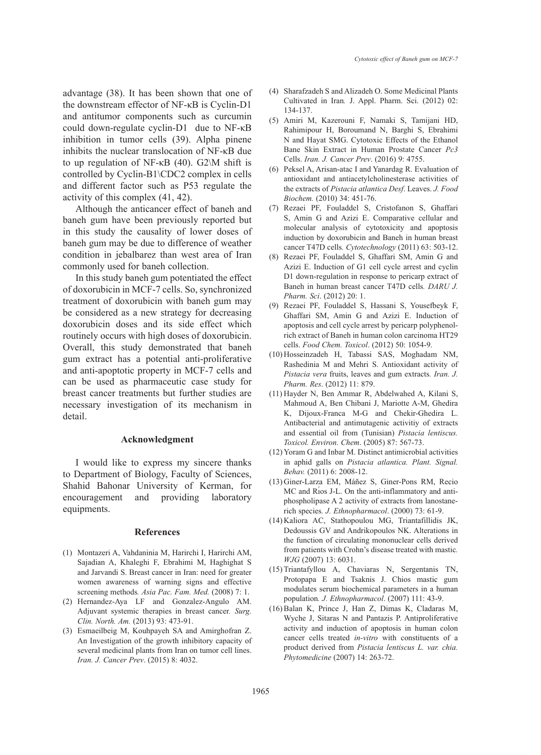advantage (38). It has been shown that one of the downstream effector of NF-κB is Cyclin-D1 and antitumor components such as curcumin could down-regulate cyclin-D1 due to NF-κB inhibition in tumor cells (39). Alpha pinene inhibits the nuclear translocation of NF-κB due to up regulation of NF- $κB(40)$ . G2\M shift is controlled by Cyclin-B1\CDC2 complex in cells and different factor such as P53 regulate the activity of this complex (41, 42).

Although the anticancer effect of baneh and baneh gum have been previously reported but in this study the causality of lower doses of baneh gum may be due to difference of weather condition in jebalbarez than west area of Iran commonly used for baneh collection.

In this study baneh gum potentiated the effect of doxorubicin in MCF-7 cells. So, synchronized treatment of doxorubicin with baneh gum may be considered as a new strategy for decreasing doxorubicin doses and its side effect which routinely occurs with high doses of doxorubicin. Overall, this study demonstrated that baneh gum extract has a potential anti-proliferative and anti-apoptotic property in MCF-7 cells and can be used as pharmaceutic case study for breast cancer treatments but further studies are necessary investigation of its mechanism in detail.

## **Acknowledgment**

I would like to express my sincere thanks to Department of Biology, Faculty of Sciences, Shahid Bahonar University of Kerman, for encouragement and providing laboratory equipments.

#### **References**

- (1) Montazeri A, Vahdaninia M, Harirchi I, Harirchi AM, Sajadian A, Khaleghi F, Ebrahimi M, Haghighat S and Jarvandi S. Breast cancer in Iran: need for greater women awareness of warning signs and effective screening methods*. Asia Pac. Fam. Med.* (2008) 7: 1.
- (2) Hernandez-Aya LF and Gonzalez-Angulo AM. Adjuvant systemic therapies in breast cancer*. Surg. Clin. North. Am.* (2013) 93: 473-91.
- Esmaeilbeig M, Kouhpayeh SA and Amirghofran Z. (3) An Investigation of the growth inhibitory capacity of several medicinal plants from Iran on tumor cell lines. *Iran. J. Cancer Prev*. (2015) 8: 4032.
- Sharafzadeh S and Alizadeh O. Some Medicinal Plants (4) Cultivated in Iran*.* J. Appl. Pharm. Sci. (2012) 02: 134-137.
- Amiri M, Kazerouni F, Namaki S, Tamijani HD, (5) Rahimipour H, Boroumand N, Barghi S, Ebrahimi N and Hayat SMG. Cytotoxic Effects of the Ethanol Bane Skin Extract in Human Prostate Cancer *Pc3* Cells. *Iran. J. Cancer Prev*. (2016) 9: 4755.
- Peksel A, Arisan‐atac I and Yanardag R. Evaluation of (6) antioxidant and antiacetylcholinesterase activities of the extracts of *Pistacia atlantica Desf*. Leaves. *J. Food Biochem.* (2010) 34: 451-76.
- (7) Rezaei PF, Fouladdel S, Cristofanon S, Ghaffari S, Amin G and Azizi E. Comparative cellular and molecular analysis of cytotoxicity and apoptosis induction by doxorubicin and Baneh in human breast cancer T47D cells*. Cytotechnology* (2011) 63: 503-12.
- Rezaei PF, Fouladdel S, Ghaffari SM, Amin G and (8) Azizi E. Induction of G1 cell cycle arrest and cyclin D1 down-regulation in response to pericarp extract of Baneh in human breast cancer T47D cells*. DARU J. Pharm. Sci*. (2012) 20: 1.
- Rezaei PF, Fouladdel S, Hassani S, Yousefbeyk F, (9) Ghaffari SM, Amin G and Azizi E. Induction of apoptosis and cell cycle arrest by pericarp polyphenolrich extract of Baneh in human colon carcinoma HT29 cells. *Food Chem. Toxicol*. (2012) 50: 1054-9.
- (10) Hosseinzadeh H, Tabassi SAS, Moghadam NM, Rashedinia M and Mehri S. Antioxidant activity of *Pistacia vera* fruits, leaves and gum extracts*. Iran. J. Pharm. Res*. (2012) 11: 879.
- (11) Hayder N, Ben Ammar R, Abdelwahed A, Kilani S, Mahmoud A, Ben Chibani J, Mariotte A-M, Ghedira K, Dijoux-Franca M-G and Chekir-Ghedira L. Antibacterial and antimutagenic activitiy of extracts and essential oil from (Tunisian) *Pistacia lentiscus. Toxicol. Environ. Chem*. (2005) 87: 567-73.
- (12) Yoram G and Inbar M. Distinct antimicrobial activities in aphid galls on *Pistacia atlantica. Plant. Signal. Behav.* (2011) 6: 2008-12.
- (13) Giner-Larza EM, Máñez S, Giner-Pons RM, Recio MC and Rios J-L. On the anti-inflammatory and antiphospholipase A 2 activity of extracts from lanostanerich species*. J. Ethnopharmacol*. (2000) 73: 61-9.
- (14) Kaliora AC, Stathopoulou MG, Triantafillidis JK, Dedoussis GV and Andrikopoulos NK. Alterations in the function of circulating mononuclear cells derived from patients with Crohn's disease treated with mastic*. WJG* (2007) 13: 6031.
- (15) Triantafyllou A, Chaviaras N, Sergentanis TN, Protopapa E and Tsaknis J. Chios mastic gum modulates serum biochemical parameters in a human population*. J. Ethnopharmacol*. (2007) 111: 43-9.
- (16) Balan K, Prince J, Han Z, Dimas K, Cladaras M, Wyche J, Sitaras N and Pantazis P. Antiproliferative activity and induction of apoptosis in human colon cancer cells treated *in-vitro* with constituents of a product derived from *Pistacia lentiscus L. var. chia. Phytomedicine* (2007) 14: 263-72.